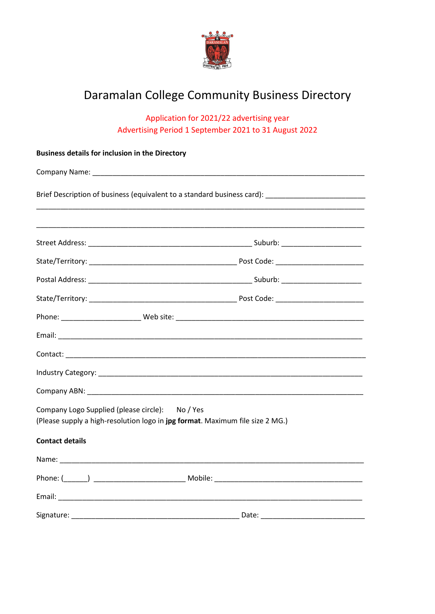

## Daramalan College Community Business Directory

Application for 2021/22 advertising year Advertising Period 1 September 2021 to 31 August 2022

| <b>Business details for inclusion in the Directory</b>                       |                                                                               |  |
|------------------------------------------------------------------------------|-------------------------------------------------------------------------------|--|
|                                                                              |                                                                               |  |
| Brief Description of business (equivalent to a standard business card): Non- |                                                                               |  |
|                                                                              |                                                                               |  |
|                                                                              |                                                                               |  |
|                                                                              |                                                                               |  |
|                                                                              |                                                                               |  |
|                                                                              |                                                                               |  |
|                                                                              |                                                                               |  |
|                                                                              |                                                                               |  |
|                                                                              |                                                                               |  |
|                                                                              |                                                                               |  |
|                                                                              |                                                                               |  |
| Company Logo Supplied (please circle): No / Yes                              | (Please supply a high-resolution logo in jpg format. Maximum file size 2 MG.) |  |
| <b>Contact details</b>                                                       |                                                                               |  |
|                                                                              |                                                                               |  |
|                                                                              |                                                                               |  |
|                                                                              |                                                                               |  |
| Signature:                                                                   | Date:                                                                         |  |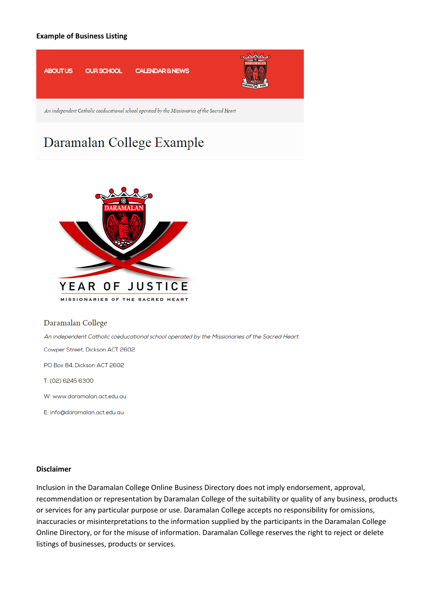#### **Example of Business Listing**



An independent Catholic coeducational school operated by the Missionaries of the Sacred Heart

# Daramalan College Example



Daramalan College

An independent Catholic coeducational school operated by the Missionaries of the Sacred Heart.

Cowper Street, Dickson ACT 2602

PO Box 84, Dickson ACT 2602

T: (02) 6245 6300

W: www.daramalan.act.edu.au

E: info@daramalan.act.edu.au

#### **Disclaimer**

Inclusion in the Daramalan College Online Business Directory does not imply endorsement, approval, recommendation or representation by Daramalan College of the suitability or quality of any business, products or services for any particular purpose or use. Daramalan College accepts no responsibility for omissions, inaccuracies or misinterpretations to the information supplied by the participants in the Daramalan College Online Directory, or for the misuse of information. Daramalan College reserves the right to reject or delete listings of businesses, products or services.